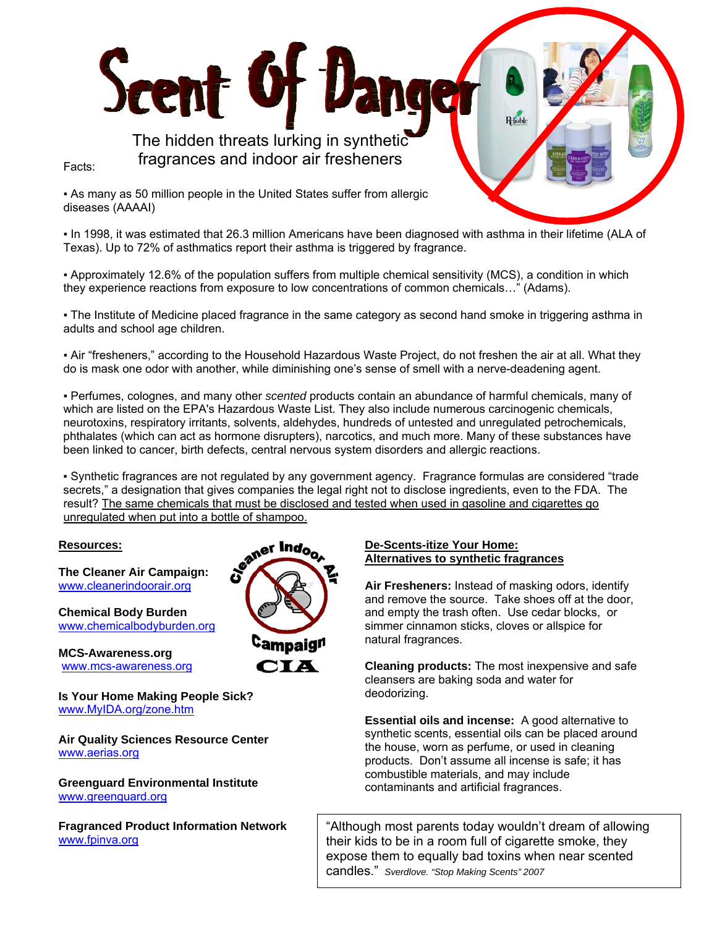The hidden threats lurking in synthetic fragrances and indoor air fresheners

Facts:

▪ As many as 50 million people in the United States suffer from allergic diseases (AAAAI)

Scent Of D

▪ In 1998, it was estimated that 26.3 million Americans have been diagnosed with asthma in their lifetime (ALA of Texas). Up to 72% of asthmatics report their asthma is triggered by fragrance.

▪ Approximately 12.6% of the population suffers from multiple chemical sensitivity (MCS), a condition in which they experience reactions from exposure to low concentrations of common chemicals…" (Adams).

▪ The Institute of Medicine placed fragrance in the same category as second hand smoke in triggering asthma in adults and school age children.

▪ Air "fresheners," according to the Household Hazardous Waste Project, do not freshen the air at all. What they do is mask one odor with another, while diminishing one's sense of smell with a nerve-deadening agent.

▪ Perfumes, colognes, and many other *scented* products contain an abundance of harmful chemicals, many of which are listed on the EPA's Hazardous Waste List. They also include numerous carcinogenic chemicals, neurotoxins, respiratory irritants, solvents, aldehydes, hundreds of untested and unregulated petrochemicals, phthalates (which can act as hormone disrupters), narcotics, and much more. Many of these substances have been linked to cancer, birth defects, central nervous system disorders and allergic reactions.

▪ Synthetic fragrances are not regulated by any government agency. Fragrance formulas are considered "trade secrets," a designation that gives companies the legal right not to disclose ingredients, even to the FDA. The result? The same chemicals that must be disclosed and tested when used in gasoline and cigarettes go unregulated when put into a bottle of shampoo.

## **Resources:**

**The Cleaner Air Campaign:**  www.cleanerindoorair.org

**Chemical Body Burden**  www.chemicalbodyburden.org

**MCS-Awareness.org**  www.mcs-awareness.org

**Is Your Home Making People Sick?**  www.MyIDA.org/zone.htm

**Air Quality Sciences Resource Center**  www.aerias.org

**Greenguard Environmental Institute**  www.greenguard.org

**Fragranced Product Information Network**  www.fpinva.org



## **De-Scents-itize Your Home: Alternatives to synthetic fragrances**

**Air Fresheners:** Instead of masking odors, identify and remove the source. Take shoes off at the door, and empty the trash often. Use cedar blocks, or simmer cinnamon sticks, cloves or allspice for natural fragrances.

**Cleaning products:** The most inexpensive and safe cleansers are baking soda and water for deodorizing.

**Essential oils and incense:** A good alternative to synthetic scents, essential oils can be placed around the house, worn as perfume, or used in cleaning products. Don't assume all incense is safe; it has combustible materials, and may include contaminants and artificial fragrances.

"Although most parents today wouldn't dream of allowing their kids to be in a room full of cigarette smoke, they expose them to equally bad toxins when near scented candles." *Sverdlove. "Stop Making Scents" 2007*